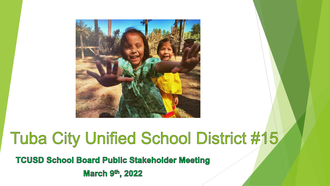

## Tuba City Unified School District #15

**TCUSD School Board Public Stakeholder Meeting** 

March 9th, 2022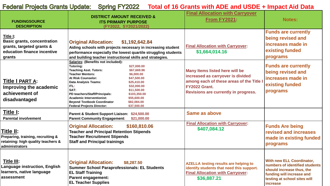#### Federal Projects Grants Update: Spring FY2022 Total of 16 Grants with ADE and USDE + Impact Aid Data

| <b>FUNDINGSOURCE</b><br><b>DESCRIPTION</b>                                                                           | <b>DISTRICT AMOUNT RECEIVED &amp;</b><br><b>ITS PRIMARY PURPOSE</b><br>(FY2022, SY2021/2022)                                                                                                                                                                                                                                                                                                                          | <b>Final Allocation with Carryover</b><br><b>From FY2021:</b>                                                                                       | <b>Notes:</b>                                                                                                                                                                   |
|----------------------------------------------------------------------------------------------------------------------|-----------------------------------------------------------------------------------------------------------------------------------------------------------------------------------------------------------------------------------------------------------------------------------------------------------------------------------------------------------------------------------------------------------------------|-----------------------------------------------------------------------------------------------------------------------------------------------------|---------------------------------------------------------------------------------------------------------------------------------------------------------------------------------|
| Title I:<br><b>Basic grants, concentration</b><br>grants, targeted grants &<br>education finance incentive<br>grants | <b>Original Allocation:</b><br>\$1,192,642.84<br>Aiding schools with projects necessary in increasing student<br>performance especially the lowest quartile struggling students<br>and building teacher instructional skills and strategies.<br><b>Salaries: (Benefits not included):</b><br><b>Tutoring:</b><br>\$27,000.00<br><b>Teaching Asst. Tutors:</b><br>\$67,669.96<br><b>Teacher Mentors:</b><br>\$6,000.00 | <b>Final Allocation with Carryover:</b><br>\$1,664,014.16<br>Many Items listed here will be<br>increased as carryover is divided                    | <b>Funds are currently</b><br>being revised and<br>increases made in<br>existing funded<br>programs<br><b>Funds are currently</b><br>being revised and                          |
| Title I PART A:<br>Improving the academic<br>achievement of<br>disadvantaged                                         | <b>At Risk Counselor:</b><br>\$47,500.00<br><b>Data Analysis Teams:</b><br>\$25,410.00<br>ITL:<br>\$32,000.00<br>SAT:<br>\$11,500.00<br>PD teachers/Staff/Principals:<br>\$103,350.00<br><b>Academic Interventionist:</b><br>\$55,600.00<br><b>Beyond Textbook Coordinator</b><br>\$82,084.00<br><b>Federal Projects Director:</b><br>\$37,500.00                                                                     | among each of these areas of the Title I<br>FY2022 Grant.<br>Revisions are currently in progress.                                                   | increases made in<br>existing funded<br>programs                                                                                                                                |
| Title I:<br><b>Parental involvement</b>                                                                              | Parent & Student Support Liaison: \$24,500.00<br><b>Parent Community Engagement:</b><br>\$21,000.00                                                                                                                                                                                                                                                                                                                   | <b>Same as above</b>                                                                                                                                |                                                                                                                                                                                 |
| Title II:<br>Preparing, training, recruiting &<br>retaining: high quality teachers &<br>administrators               | <b>Original Allocation:</b><br>\$160,810.06<br><b>Teacher and Principal Retention Stipends</b><br><b>Teacher Recruitment Stipends</b><br><b>Staff and Principal trainings</b>                                                                                                                                                                                                                                         | <b>Final Allocation with Carryover:</b><br>\$407,084.12                                                                                             | <b>Funds Are being</b><br>revised and increases<br>made in existing funded<br>programs                                                                                          |
| <b>Title III:</b><br><b>Language instruction, English</b><br>learners, native language<br>assessment                 | <b>Original Allocation:</b><br>\$8,287.50<br><b>Summer School Paraprofessionals: EL Students</b><br><b>EL Staff Training</b><br><b>Parent engagement:</b><br><b>EL Teacher Supplies</b>                                                                                                                                                                                                                               | <b>AZELLA testing results are helping to</b><br>identify students that need this support.<br><b>Final Allocation with Carryover:</b><br>\$36,887.21 | <b>With new ELL Coordinator,</b><br>numbers of identified students<br>should increase thus, the<br>funding will increase and<br>testing at school sites will<br><i>increase</i> |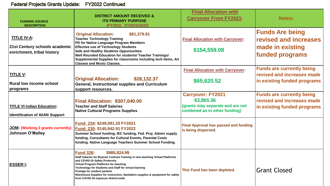#### Federal Projects Grants Update: FY2022 Continued

| <b>FUNDING SOURCE</b><br><b>DESCRIPTION</b>                                       | <b>DISTRICT AMOUNT RECEIVED &amp;</b><br><b>ITS PRIMARY PURPOSE</b><br>(FY2022, SY2021/2022)                                                                                                                                                                                                                                                                                                                     | <b>Final Allocation with</b><br><b>Carryover From FY2021:</b>                                               | <b>Notes:</b>                                                                                 |
|-----------------------------------------------------------------------------------|------------------------------------------------------------------------------------------------------------------------------------------------------------------------------------------------------------------------------------------------------------------------------------------------------------------------------------------------------------------------------------------------------------------|-------------------------------------------------------------------------------------------------------------|-----------------------------------------------------------------------------------------------|
| <b>TITLE IV-A:</b><br>21st Century schools academic<br>enrichment, tribal history | \$81,379.81<br><b>Original Allocation:</b><br><b>Teacher Technology Training</b><br>PD for Native Language Program Members<br><b>Effective use of Technology Students</b><br>Safe and Healthy Students Opportunities<br>Well Rounded Education for students/ Teacher Trainings/<br>Supplemental Supplies for classrooms including tech items, Art<br><b>Classes and Music Classes.</b>                           | <b>Final Allocation with Carryover:</b><br>\$154,559.08                                                     | <b>Funds Are being</b><br>revised and increases<br>made in existing<br>funded programs        |
| TITLE V:<br><b>Rural low income school</b><br>programs                            | <b>Original Allocation:</b><br>\$28,132.37<br><b>General, Instructional supplies and Curriculum</b><br>support resources.                                                                                                                                                                                                                                                                                        | <b>Final Allocation with Carryover:</b><br>\$65,620.52                                                      | <b>Funds are currently being</b><br>revised and increases made<br>in existing funded programs |
| <b>TITLE VI Indian Education:</b><br><b>Identification of AI/AN Support</b>       | <b>Final Allocation: \$307,040.00</b><br><b>Teacher and Staff Salaries</b><br><b>Native Cultural Programs Supplies</b>                                                                                                                                                                                                                                                                                           | <b>Carryover: FY2021</b><br>\$3,865.36<br>grants stay separate and are not<br>combined as in other funding) | <b>Funds are currently being</b><br>revised and increases made<br>in existing funded programs |
| <b>JOM: (Working 2 grants currently)</b><br><b>Johnson O'Malley</b>               | Fund: 234: \$249,091.25 FY2021<br>Fund: 230: \$145,842.91 FY2022<br>Summer School funding, IEC funding, Fed. Proj. Admin supply<br>funding, Consultants for Cultural Events, Parental Costs<br>funding. Native Language Teachers Summer School Funding.                                                                                                                                                          | <b>Final Approval has passed and funding</b><br>is being dispersed.                                         |                                                                                               |
| <b>ESSER I:</b>                                                                   | <b>Fund 326:</b><br>\$985,824.99<br>Staff Salaries for Beyond Contract Training in new teaching Virtual Platforms<br>and COVID-19 Safety Protocols.<br>Virtual Program Platforms for teaching<br>Technology for Students and Staff for virtual learning<br>Postage for student packets<br>Warehouse Supplies for instruction, Sanitation supplies & equipment for safety<br>from COVID-19 exposure district-wide | This Fund has been depleted.                                                                                | Grant Closed                                                                                  |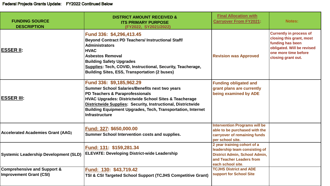| <b>FUNDING SOURCE</b><br><b>DESCRIPTION</b>                              | <b>DISTRICT AMOUNT RECEIVED &amp;</b><br><b>ITS PRIMARY PURPOSE</b><br>(FY2022, SY2021/2022)                                                                                                                                                                                                                                                            | <b>Final Allocation with</b><br><b>Carryover From FY2021:</b>                                                                                  | <b>Notes:</b>                                                                                                                                              |
|--------------------------------------------------------------------------|---------------------------------------------------------------------------------------------------------------------------------------------------------------------------------------------------------------------------------------------------------------------------------------------------------------------------------------------------------|------------------------------------------------------------------------------------------------------------------------------------------------|------------------------------------------------------------------------------------------------------------------------------------------------------------|
| <b>ESSER II:</b>                                                         | Fund 336: \$4,296,413.45<br><b>Beyond Contract PD Teachers/ Instructional Staff/</b><br><b>Administrators</b><br><b>HVAC</b><br><b>Asbestos Removal</b><br><b>Building Safety Upgrades</b><br><b>Supplies: Tech, COVID, Instructional, Security, Teacherage,</b><br><b>Building Sites, ESS, Transportation (2 buses)</b>                                | <b>Revision was Approved</b>                                                                                                                   | <b>Currently in process of</b><br>closing this grant, most<br>funding has been<br>obligated. Will be revised<br>one more time before<br>closing grant out. |
| <b>ESSER III:</b>                                                        | Fund 336: \$9,185,962.29<br>Summer School Salaries/Benefits next two years<br>PD Teachers & Paraprofessionals<br><b>HVAC Upgrades: Districtwide School Sites &amp; Teacherage</b><br><b>Districtwide Supplies: Security, Instructional, Districtwide</b><br><b>Building Equipment Upgrades, Tech, Transportation, Internet</b><br><b>Infrastructure</b> | <b>Funding obligated and</b><br>grant plans are currently<br>being examined by ADE                                                             |                                                                                                                                                            |
| <b>Accelerated Academies Grant (AAG)</b>                                 | Fund: 327: \$650,000.00<br>Summer School Intervention costs and supplies.                                                                                                                                                                                                                                                                               | <b>Intervention Programs will be</b><br>able to be purchased with the<br>carryover of remaining funds<br>per school site.                      |                                                                                                                                                            |
| <b>Systemic Leadership Development (SLD)</b>                             | Fund: 131: \$159,281.34<br><b>ELEVATE: Developing District-wide Leadership</b>                                                                                                                                                                                                                                                                          | 2 year training cohort of a<br>leadership team consisting of<br>District Admin, School Admin,<br>and Teacher Leaders from<br>each school site. |                                                                                                                                                            |
| <b>Comprehensive and Support &amp;</b><br><b>Improvement Grant (CSI)</b> | Fund: 130: \$43,719.42<br>TSI & CSI Targeted School Support (TCJHS Competitive Grant)                                                                                                                                                                                                                                                                   | <b>TCJHS District and ADE</b><br>support for School Site                                                                                       |                                                                                                                                                            |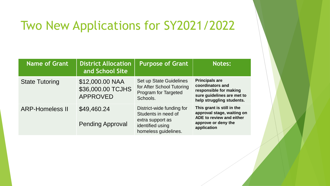## Two New Applications for SY2021/2022

| <b>Name of Grant</b>   | <b>District Allocation</b><br>and School Site           | <b>Purpose of Grant</b>                                                                                          | <b>Notes:</b>                                                                                                                  |
|------------------------|---------------------------------------------------------|------------------------------------------------------------------------------------------------------------------|--------------------------------------------------------------------------------------------------------------------------------|
| <b>State Tutoring</b>  | \$12,000.00 NAA<br>\$36,000.00 TCJHS<br><b>APPROVED</b> | Set up State Guidelines<br>for After School Tutoring<br>Program for Targeted<br>Schools.                         | <b>Principals are</b><br>coordinators and<br>responsible for making<br>sure guidelines are met to<br>help struggling students. |
| <b>ARP-Homeless II</b> | \$49,460.24<br><b>Pending Approval</b>                  | District-wide funding for<br>Students in need of<br>extra support as<br>identified using<br>homeless guidelines. | This grant is still in the<br>approval stage, waiting on<br>ADE to review and either<br>approve or deny the<br>application     |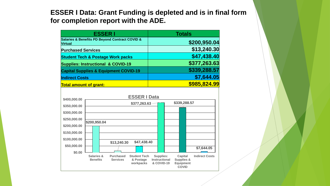#### **ESSER I Data: Grant Funding is depleted and is in final form for completion report with the ADE.**

| <b>ESSER I</b>                                                   | <b>Totals</b> |
|------------------------------------------------------------------|---------------|
| Salaries & Benefits PD Beyond Contract COVID &<br><b>Virtual</b> | \$200,950.04  |
| <b>Purchased Services</b>                                        | \$13,240.30   |
| <b>Student Tech &amp; Postage Work packs</b>                     | \$47,438.40   |
| <b>Supplies: Instructional &amp; COVID-19</b>                    | \$377,263.63  |
| <b>Capital Supplies &amp; Equipment COVID-19</b>                 | \$339,288.57  |
| <b>Indirect Costs</b>                                            | \$7,644.05    |
| <b>Total amount of grant:</b>                                    | \$985,824.99  |

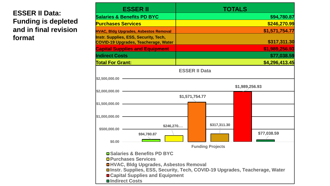#### **ESSER II Data: Funding is depleted and in final revision format**

| <b>ESSER II</b>                                                                             |                                                                              | <b>TOTALS</b>        |                         |                |                |
|---------------------------------------------------------------------------------------------|------------------------------------------------------------------------------|----------------------|-------------------------|----------------|----------------|
| <b>Salaries &amp; Benefits PD BYC</b>                                                       |                                                                              |                      |                         |                | \$94,780.87    |
| <b>Purchases Services</b>                                                                   |                                                                              |                      |                         |                | \$246,270.99   |
| <b>HVAC, Bidg Upgrades, Asbestos Removal</b>                                                |                                                                              |                      |                         |                | \$1,571,754.77 |
| <b>Instr. Supplies, ESS, Security, Tech,</b><br><b>COVID-19 Upgrades, Teacherage, Water</b> |                                                                              |                      |                         |                | \$317,311.30   |
| <b>Capital Supplies and Equipment</b>                                                       |                                                                              |                      |                         |                | \$1,989,256.93 |
| <b>Indirect Costs</b>                                                                       |                                                                              |                      |                         |                | \$77,038.59    |
| <b>Total For Grant:</b>                                                                     |                                                                              |                      |                         |                | \$4,296,413.45 |
|                                                                                             |                                                                              | <b>ESSER II Data</b> |                         |                |                |
| $$2,500,000.00$ -                                                                           |                                                                              |                      |                         |                |                |
|                                                                                             |                                                                              |                      |                         | \$1,989,256.93 |                |
| $$2,000,000.00 -$                                                                           |                                                                              |                      |                         |                |                |
|                                                                                             |                                                                              | \$1,571,754.77       |                         |                |                |
| $$1,500,000.00$ -                                                                           |                                                                              |                      |                         |                |                |
|                                                                                             |                                                                              |                      |                         |                |                |
|                                                                                             |                                                                              |                      | \$317,311.30            |                |                |
| $$500,000.00$ -                                                                             | \$246,270                                                                    |                      |                         |                |                |
|                                                                                             | \$94,780.87                                                                  |                      |                         |                | \$77,038.59    |
| \$0.00                                                                                      |                                                                              |                      | <b>Funding Projects</b> |                |                |
| <b>□ Salaries &amp; Benefits PD BYC</b>                                                     |                                                                              |                      |                         |                |                |
| <b>OPurchases Services</b>                                                                  |                                                                              |                      |                         |                |                |
|                                                                                             | <b>□HVAC, Bldg Upgrades, Asbestos Removal</b>                                |                      |                         |                |                |
|                                                                                             | □ Instr. Supplies, ESS, Security, Tech, COVID-19 Upgrades, Teacherage, Water |                      |                         |                |                |
|                                                                                             | ■ Capital Supplies and Equipment                                             |                      |                         |                |                |
| <b>■Indirect Costs</b>                                                                      |                                                                              |                      |                         |                |                |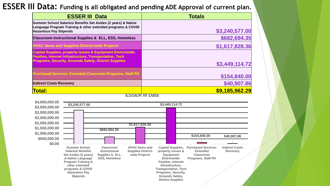#### **ESSER III Data: Funding is all obligated and pending ADE Approval of current plan.**

| <b>Totals</b>  |
|----------------|
| \$3,240,577.00 |
| \$682,694.35   |
| \$1,617,828.36 |
| \$3,449,114.72 |
| \$154,840.00   |
| \$40,907.86    |
| \$9,185,962.29 |
| ESSER III Data |

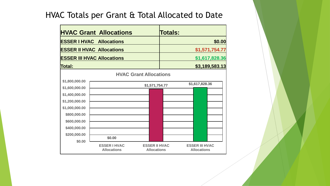#### HVAC Totals per Grant & Total Allocated to Date

|                                  | <b>HVAC Grant Allocations</b>             |                                            | <b>Totals:</b> |                                             |                |
|----------------------------------|-------------------------------------------|--------------------------------------------|----------------|---------------------------------------------|----------------|
|                                  | <b>ESSER I HVAC Allocations</b>           |                                            |                |                                             | \$0.00         |
|                                  | <b>ESSER II HVAC Allocations</b>          |                                            |                |                                             | \$1,571,754.77 |
|                                  | <b>ESSER III HVAC Allocations</b>         |                                            |                |                                             | \$1,617,828.36 |
| Total:                           |                                           |                                            |                |                                             | \$3,189,583.13 |
|                                  |                                           | <b>HVAC Grant Allocations</b>              |                |                                             |                |
| \$1,800,000.00<br>\$1,600,000.00 |                                           | \$1,571,754.77                             |                | \$1,617,828.36                              |                |
| \$1,400,000.00<br>\$1,200,000.00 |                                           |                                            |                |                                             |                |
| \$1,000,000.00                   |                                           |                                            |                |                                             |                |
| \$800,000.00<br>\$600,000.00     |                                           |                                            |                |                                             |                |
| \$400,000.00                     |                                           |                                            |                |                                             |                |
| \$200,000.00<br>\$0.00           | \$0.00                                    |                                            |                |                                             |                |
|                                  | <b>ESSER I HVAC</b><br><b>Allocations</b> | <b>ESSER II HVAC</b><br><b>Allocations</b> |                | <b>ESSER III HVAC</b><br><b>Allocations</b> |                |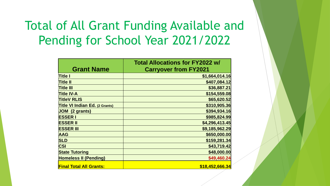### Total of All Grant Funding Available and Pending for School Year 2021/2022

|                                       | <b>Total Allocations for FY2022 w/</b> |
|---------------------------------------|----------------------------------------|
| <b>Grant Name</b>                     | <b>Carryover from FY2021</b>           |
| <b>Title I</b>                        | \$1,664,014.16                         |
| <b>Title II</b>                       | \$407,084.12                           |
| <b>Title III</b>                      | \$36,887.21                            |
| <b>Title IV-A</b>                     | \$154,559.08                           |
| <b>TitleV RLIS</b>                    | \$65,620.52                            |
| <b>Title VI Indian Ed. (2 Grants)</b> | \$310,905.36                           |
| JOM (2 grants)                        | \$394,934.16                           |
| <b>ESSER I</b>                        | \$985,824.99                           |
| <b>ESSER II</b>                       | \$4,296,413.45                         |
| <b>ESSER III</b>                      | \$9,185,962.29                         |
| <b>AAG</b>                            | \$650,000.00                           |
| <b>SLD</b>                            | \$159,281.34                           |
| <b>CSI</b>                            | \$43,719.42                            |
| <b>State Tutoring</b>                 | \$48,000.00                            |
| <b>Homeless II (Pending)</b>          | \$49,460.24                            |
| <b>Final Total All Grants:</b>        | \$18,452,666.34                        |